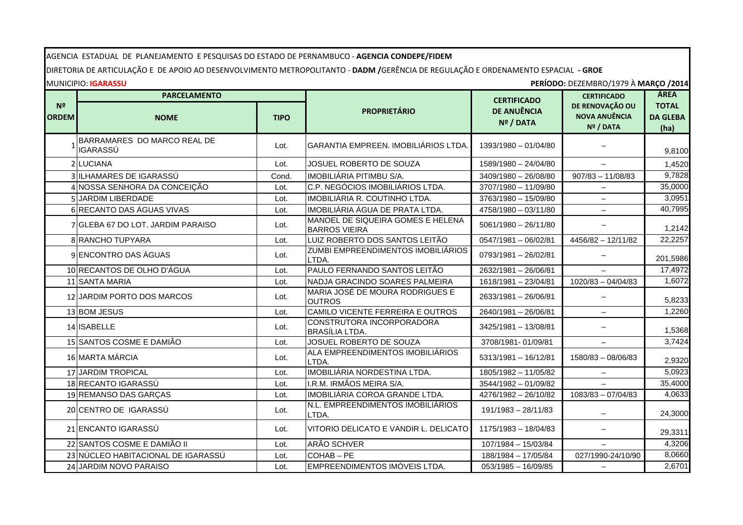AGENCIA ESTADUAL DE PLANEJAMENTO E PESQUISAS DO ESTADO DE PERNAMBUCO - **AGENCIA CONDEPE/FIDEM**

DIRETORIA DE ARTICULAÇÃO E DE APOIO AO DESENVOLVIMENTO METROPOLITANTO - **DADM /**GERÊNCIA DE REGULAÇÃO E ORDENAMENTO ESPACIAL **- GROE**

MUNICIPIO: **IGARASSU PERÍODO:** DEZEMBRO/1979 À **MARÇO /2014**

|                                | <b>PARCELAMENTO</b>                            |             |                                                           | <b>CERTIFICADO</b>              | <b>CERTIFICADO</b>                                   | ÁREA                                    |
|--------------------------------|------------------------------------------------|-------------|-----------------------------------------------------------|---------------------------------|------------------------------------------------------|-----------------------------------------|
| N <sup>o</sup><br><b>ORDEM</b> | <b>NOME</b>                                    | <b>TIPO</b> | <b>PROPRIETÁRIO</b>                                       | <b>DE ANUÊNCIA</b><br>Nº / DATA | DE RENOVAÇÃO OU<br><b>NOVA ANUÊNCIA</b><br>Nº / DATA | <b>TOTAL</b><br><b>DA GLEBA</b><br>(ha) |
|                                | BARRAMARES DO MARCO REAL DE<br><b>IGARASSÚ</b> | Lot.        | GARANTIA EMPREEN. IMOBILIÁRIOS LTDA.                      | 1393/1980 - 01/04/80            |                                                      | 9,8100                                  |
|                                | 2 LUCIANA                                      | Lot.        | <b>JOSUEL ROBERTO DE SOUZA</b>                            | 1589/1980 - 24/04/80            | $-$                                                  | 1,4520                                  |
|                                | 3 ILHAMARES DE IGARASSÚ                        | Cond.       | IMOBILIÁRIA PITIMBU S/A.                                  | 3409/1980 - 26/08/80            | $907/83 - 11/08/83$                                  | 9,7828                                  |
|                                | 4 NOSSA SENHORA DA CONCEIÇÃO                   | Lot.        | C.P. NEGÓCIOS IMOBILIÁRIOS LTDA.                          | 3707/1980 - 11/09/80            |                                                      | 35,0000                                 |
|                                | <b>JARDIM LIBERDADE</b>                        | Lot.        | IMOBILIÁRIA R. COUTINHO LTDA.                             | 3763/1980 - 15/09/80            |                                                      | 3,0951                                  |
|                                | 6 RECANTO DAS ÁGUAS VIVAS                      | Lot.        | IMOBILIÁRIA ÁGUA DE PRATA LTDA.                           | 4758/1980 - 03/11/80            | $\overline{\phantom{0}}$                             | 40,7995                                 |
|                                | 7 GLEBA 67 DO LOT. JARDIM PARAISO              | Lot.        | MANOEL DE SIQUEIRA GOMES E HELENA<br><b>BARROS VIEIRA</b> | $5061/1980 - 26/11/80$          |                                                      | 1,2142                                  |
|                                | 8 RANCHO TUPYARA                               | Lot.        | LUIZ ROBERTO DOS SANTOS LEITÃO                            | $0547/1981 - 06/02/81$          | 4456/82 - 12/11/82                                   | 22,2257                                 |
|                                | 9 ENCONTRO DAS ÁGUAS                           | Lot.        | ZUMBI EMPREENDIMENTOS IMOBILIÁRIOS<br>LTDA.               | 0793/1981 - 26/02/81            |                                                      | 201,5986                                |
|                                | 10 RECANTOS DE OLHO D'ÁGUA                     | Lot.        | PAULO FERNANDO SANTOS LEITÃO                              | 2632/1981 - 26/06/81            |                                                      | 17,4972                                 |
|                                | 11 SANTA MARIA                                 | Lot.        | NADJA GRACINDO SOARES PALMEIRA                            | 1618/1981 - 23/04/81            | $1020/83 - 04/04/83$                                 | 1,6072                                  |
|                                | 12 JARDIM PORTO DOS MARCOS                     | Lot.        | MARIA JOSÉ DE MOURA RODRIGUES E<br><b>OUTROS</b>          | 2633/1981 - 26/06/81            |                                                      | 5,8233                                  |
|                                | 13 BOM JESUS                                   | Lot.        | CAMILO VICENTE FERREIRA E OUTROS                          | 2640/1981 - 26/06/81            | $\overline{\phantom{0}}$                             | 1,2260                                  |
|                                | 14 ISABELLE                                    | Lot.        | CONSTRUTORA INCORPORADORA<br>BRASÍLIA LTDA.               | 3425/1981 - 13/08/81            |                                                      | 1,5368                                  |
|                                | 15 SANTOS COSME E DAMIÃO                       | Lot.        | JOSUEL ROBERTO DE SOUZA                                   | 3708/1981-01/09/81              |                                                      | 3,7424                                  |
|                                | 16 MARTA MÁRCIA                                | Lot.        | ALA EMPREENDIMENTOS IMOBILIÁRIOS<br>LTDA.                 | 5313/1981 - 16/12/81            | 1580/83 - 08/06/83                                   | 2,9320                                  |
|                                | 17 JARDIM TROPICAL                             | Lot.        | <b>IMOBILIÁRIA NORDESTINA LTDA.</b>                       | 1805/1982 - 11/05/82            |                                                      | 5,0923                                  |
|                                | 18 RECANTO IGARASSÚ                            | Lot.        | I.R.M. IRMÃOS MEIRA S/A.                                  | 3544/1982 - 01/09/82            | $\overline{\phantom{0}}$                             | 35,4000                                 |
|                                | 19 REMANSO DAS GARÇAS                          | Lot.        | IMOBILIÁRIA COROA GRANDE LTDA.                            | 4276/1982 - 26/10/82            | 1083/83 - 07/04/83                                   | 4,0633                                  |
|                                | 20 CENTRO DE IGARASSÚ                          | Lot.        | N.L. EMPREENDIMENTOS IMOBILIÁRIOS<br>LTDA.                | 191/1983 - 28/11/83             |                                                      | 24,3000                                 |
|                                | 21 ENCANTO IGARASSÚ                            | Lot.        | VITORIO DELICATO E VANDIR L. DELICATO                     | 1175/1983 - 18/04/83            |                                                      | 29,3311                                 |
|                                | 22 SANTOS COSME E DAMIÃO II                    | Lot.        | ARÃO SCHVER                                               | 107/1984 - 15/03/84             |                                                      | 4,3206                                  |
|                                | 23 NÚCLEO HABITACIONAL DE IGARASSÚ             | Lot.        | COHAB-PE                                                  | 188/1984 - 17/05/84             | 027/1990-24/10/90                                    | 8,0660                                  |
|                                | 24 JARDIM NOVO PARAISO                         | Lot.        | EMPREENDIMENTOS IMÓVEIS LTDA.                             | 053/1985 - 16/09/85             | $\overline{\phantom{0}}$                             | 2,6701                                  |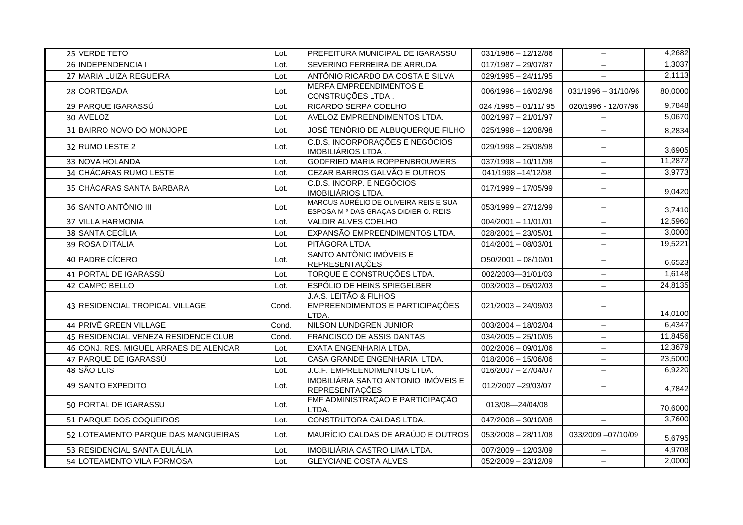| 25 VERDE TETO<br>26 INDEPENDENCIA I<br>SEVERINO FERREIRA DE ARRUDA<br>$017/1987 - 29/07/87$<br>Lot.<br>27 MARIA LUIZA REGUEIRA<br>ANTÔNIO RICARDO DA COSTA E SILVA<br>$\overline{029/1995} - 24/11/95$<br>Lot.<br><b>MERFA EMPREENDIMENTOS E</b><br>$006/1996 - 16/02/96$<br>28 CORTEGADA<br>$031/1996 - 31/10/96$<br>Lot.<br>CONSTRUÇÕES LTDA.<br>29 PARQUE IGARASSÚ<br>RICARDO SERPA COELHO<br>$024/1995 - 01/11/95$<br>020/1996 - 12/07/96<br>Lot.<br>30 AVELOZ<br><b>AVELOZ EMPREENDIMENTOS LTDA.</b><br>$002/1997 - 21/01/97$<br>Lot.<br>$\overline{\phantom{m}}$<br>JOSÉ TENÓRIO DE ALBUQUERQUE FILHO<br>31 BAIRRO NOVO DO MONJOPE<br>$025/1998 - 12/08/98$<br>Lot.<br>$-$<br>C.D.S. INCORPORAÇÕES E NEGÓCIOS<br>$029/1998 - 25/08/98$<br>32 RUMO LESTE 2<br>Lot.<br>$\overline{\phantom{0}}$<br>IMOBILIÁRIOS LTDA.<br>GODFRIED MARIA ROPPENBROUWERS<br>33 NOVA HOLANDA<br>$037/1998 - 10/11/98$<br>Lot.<br>$-$<br>34 CHÁCARAS RUMO LESTE<br>CEZAR BARROS GALVÃO E OUTROS<br>041/1998-14/12/98<br>Lot.<br>$\overline{\phantom{0}}$<br>C.D.S. INCORP. E NEGÓCIOS<br>35 CHÁCARAS SANTA BARBARA<br>$017/1999 - 17/05/99$<br>Lot.<br>$\overline{\phantom{m}}$<br>IMOBILIÁRIOS LTDA.<br>MARCUS AURÉLIO DE OLIVEIRA REIS E SUA<br>36 SANTO ANTÔNIO III<br>$053/1999 - 27/12/99$<br>Lot.<br>$\overline{\phantom{0}}$<br>ESPOSA M <sup>a</sup> DAS GRAÇAS DIDIER O. REIS<br>37 VILLA HARMONIA<br>VALDIR ALVES COELHO<br>Lot.<br>$004/2001 - 11/01/01$<br>$\overline{\phantom{m}}$<br>38 SANTA CECÍLIA<br>EXPANSÃO EMPREENDIMENTOS LTDA.<br>$028/2001 - 23/05/01$<br>Lot.<br>39 ROSA D'ITALIA<br>PITÁGORA LTDA.<br>$014/2001 - 08/03/01$<br>Lot.<br>$\overline{\phantom{0}}$<br>SANTO ANTÔNIO IMÓVEIS E<br>40 PADRE CÍCERO<br>$O50/2001 - 08/10/01$<br>Lot.<br>$\overline{\phantom{m}}$<br><b>REPRESENTAÇÕES</b><br>41 PORTAL DE IGARASSÚ<br>TORQUE E CONSTRUÇÕES LTDA.<br>002/2003-31/01/03<br>Lot.<br>$-$<br>42 CAMPO BELLO<br>ESPÓLIO DE HEINS SPIEGELBER<br>$003/2003 - 05/02/03$<br>Lot.<br>$\qquad \qquad -$<br><b>J.A.S. LEITÃO &amp; FILHOS</b><br>43 RESIDENCIAL TROPICAL VILLAGE<br>EMPREENDIMENTOS E PARTICIPAÇÕES<br>$021/2003 - 24/09/03$<br>Cond.<br>LTDA.<br>44 PRIVÊ GREEN VILLAGE<br>NILSON LUNDGREN JUNIOR<br>$003/2004 - 18/02/04$<br>Cond.<br>$\overline{\phantom{m}}$<br>45 RESIDENCIAL VENEZA RESIDENCE CLUB<br><b>FRANCISCO DE ASSIS DANTAS</b><br>$034/2005 - 25/10/05$<br>Cond.<br>$\overline{\phantom{0}}$<br>46 CONJ. RES. MIGUEL ARRAES DE ALENCAR<br>EXATA ENGENHARIA LTDA.<br>$002/2006 - 09/01/06$<br>Lot.<br>$-$<br>47 PARQUE DE IGARASSÚ<br>CASA GRANDE ENGENHARIA LTDA.<br>$018/2006 - 15/06/06$<br>Lot.<br>$\overline{\phantom{0}}$<br>J.C.F. EMPREENDIMENTOS LTDA.<br>48 SÃO LUIS<br>$016/2007 - 27/04/07$<br>Lot.<br>$\overline{\phantom{0}}$<br>IMOBILIÁRIA SANTO ANTONIO IMÓVEIS E<br>49 SANTO EXPEDITO<br>012/2007 -29/03/07<br>Lot.<br>$\overline{\phantom{m}}$<br><b>REPRESENTAÇÕES</b><br>FMF ADMINISTRAÇÃO E PARTICIPAÇÃO<br>50 PORTAL DE IGARASSU<br>013/08-24/04/08<br>Lot.<br>LTDA.<br>CONSTRUTORA CALDAS LTDA.<br>51 PARQUE DOS COQUEIROS<br>$047/2008 - 30/10/08$<br>Lot.<br>$\overline{\phantom{m}}$<br>MAURÍCIO CALDAS DE ARAÚJO E OUTROS<br>52 LOTEAMENTO PARQUE DAS MANGUEIRAS<br>$053/2008 - 28/11/08$<br>033/2009 -07/10/09<br>Lot.<br>53 RESIDENCIAL SANTA EULÁLIA<br>IMOBILIÁRIA CASTRO LIMA LTDA.<br>007/2009 - 12/03/09<br>Lot.<br>$\qquad \qquad -$ |  |      |                                  |                       |     |         |
|--------------------------------------------------------------------------------------------------------------------------------------------------------------------------------------------------------------------------------------------------------------------------------------------------------------------------------------------------------------------------------------------------------------------------------------------------------------------------------------------------------------------------------------------------------------------------------------------------------------------------------------------------------------------------------------------------------------------------------------------------------------------------------------------------------------------------------------------------------------------------------------------------------------------------------------------------------------------------------------------------------------------------------------------------------------------------------------------------------------------------------------------------------------------------------------------------------------------------------------------------------------------------------------------------------------------------------------------------------------------------------------------------------------------------------------------------------------------------------------------------------------------------------------------------------------------------------------------------------------------------------------------------------------------------------------------------------------------------------------------------------------------------------------------------------------------------------------------------------------------------------------------------------------------------------------------------------------------------------------------------------------------------------------------------------------------------------------------------------------------------------------------------------------------------------------------------------------------------------------------------------------------------------------------------------------------------------------------------------------------------------------------------------------------------------------------------------------------------------------------------------------------------------------------------------------------------------------------------------------------------------------------------------------------------------------------------------------------------------------------------------------------------------------------------------------------------------------------------------------------------------------------------------------------------------------------------------------------------------------------------------------------------------------------------------------------------------------------------------------------------------------------------------------------------------------------------------------------------------------------------------------------------------------------------------------------------------------------------------------------------------------------------------------|--|------|----------------------------------|-----------------------|-----|---------|
|                                                                                                                                                                                                                                                                                                                                                                                                                                                                                                                                                                                                                                                                                                                                                                                                                                                                                                                                                                                                                                                                                                                                                                                                                                                                                                                                                                                                                                                                                                                                                                                                                                                                                                                                                                                                                                                                                                                                                                                                                                                                                                                                                                                                                                                                                                                                                                                                                                                                                                                                                                                                                                                                                                                                                                                                                                                                                                                                                                                                                                                                                                                                                                                                                                                                                                                                                                                                              |  | Lot. | PREFEITURA MUNICIPAL DE IGARASSU | $031/1986 - 12/12/86$ | $-$ | 4,2682  |
|                                                                                                                                                                                                                                                                                                                                                                                                                                                                                                                                                                                                                                                                                                                                                                                                                                                                                                                                                                                                                                                                                                                                                                                                                                                                                                                                                                                                                                                                                                                                                                                                                                                                                                                                                                                                                                                                                                                                                                                                                                                                                                                                                                                                                                                                                                                                                                                                                                                                                                                                                                                                                                                                                                                                                                                                                                                                                                                                                                                                                                                                                                                                                                                                                                                                                                                                                                                                              |  |      |                                  |                       |     | 1,3037  |
|                                                                                                                                                                                                                                                                                                                                                                                                                                                                                                                                                                                                                                                                                                                                                                                                                                                                                                                                                                                                                                                                                                                                                                                                                                                                                                                                                                                                                                                                                                                                                                                                                                                                                                                                                                                                                                                                                                                                                                                                                                                                                                                                                                                                                                                                                                                                                                                                                                                                                                                                                                                                                                                                                                                                                                                                                                                                                                                                                                                                                                                                                                                                                                                                                                                                                                                                                                                                              |  |      |                                  |                       |     | 2,1113  |
|                                                                                                                                                                                                                                                                                                                                                                                                                                                                                                                                                                                                                                                                                                                                                                                                                                                                                                                                                                                                                                                                                                                                                                                                                                                                                                                                                                                                                                                                                                                                                                                                                                                                                                                                                                                                                                                                                                                                                                                                                                                                                                                                                                                                                                                                                                                                                                                                                                                                                                                                                                                                                                                                                                                                                                                                                                                                                                                                                                                                                                                                                                                                                                                                                                                                                                                                                                                                              |  |      |                                  |                       |     | 80,0000 |
|                                                                                                                                                                                                                                                                                                                                                                                                                                                                                                                                                                                                                                                                                                                                                                                                                                                                                                                                                                                                                                                                                                                                                                                                                                                                                                                                                                                                                                                                                                                                                                                                                                                                                                                                                                                                                                                                                                                                                                                                                                                                                                                                                                                                                                                                                                                                                                                                                                                                                                                                                                                                                                                                                                                                                                                                                                                                                                                                                                                                                                                                                                                                                                                                                                                                                                                                                                                                              |  |      |                                  |                       |     | 9,7848  |
|                                                                                                                                                                                                                                                                                                                                                                                                                                                                                                                                                                                                                                                                                                                                                                                                                                                                                                                                                                                                                                                                                                                                                                                                                                                                                                                                                                                                                                                                                                                                                                                                                                                                                                                                                                                                                                                                                                                                                                                                                                                                                                                                                                                                                                                                                                                                                                                                                                                                                                                                                                                                                                                                                                                                                                                                                                                                                                                                                                                                                                                                                                                                                                                                                                                                                                                                                                                                              |  |      |                                  |                       |     | 5,0670  |
|                                                                                                                                                                                                                                                                                                                                                                                                                                                                                                                                                                                                                                                                                                                                                                                                                                                                                                                                                                                                                                                                                                                                                                                                                                                                                                                                                                                                                                                                                                                                                                                                                                                                                                                                                                                                                                                                                                                                                                                                                                                                                                                                                                                                                                                                                                                                                                                                                                                                                                                                                                                                                                                                                                                                                                                                                                                                                                                                                                                                                                                                                                                                                                                                                                                                                                                                                                                                              |  |      |                                  |                       |     | 8,2834  |
|                                                                                                                                                                                                                                                                                                                                                                                                                                                                                                                                                                                                                                                                                                                                                                                                                                                                                                                                                                                                                                                                                                                                                                                                                                                                                                                                                                                                                                                                                                                                                                                                                                                                                                                                                                                                                                                                                                                                                                                                                                                                                                                                                                                                                                                                                                                                                                                                                                                                                                                                                                                                                                                                                                                                                                                                                                                                                                                                                                                                                                                                                                                                                                                                                                                                                                                                                                                                              |  |      |                                  |                       |     | 3,6905  |
|                                                                                                                                                                                                                                                                                                                                                                                                                                                                                                                                                                                                                                                                                                                                                                                                                                                                                                                                                                                                                                                                                                                                                                                                                                                                                                                                                                                                                                                                                                                                                                                                                                                                                                                                                                                                                                                                                                                                                                                                                                                                                                                                                                                                                                                                                                                                                                                                                                                                                                                                                                                                                                                                                                                                                                                                                                                                                                                                                                                                                                                                                                                                                                                                                                                                                                                                                                                                              |  |      |                                  |                       |     | 11,2872 |
|                                                                                                                                                                                                                                                                                                                                                                                                                                                                                                                                                                                                                                                                                                                                                                                                                                                                                                                                                                                                                                                                                                                                                                                                                                                                                                                                                                                                                                                                                                                                                                                                                                                                                                                                                                                                                                                                                                                                                                                                                                                                                                                                                                                                                                                                                                                                                                                                                                                                                                                                                                                                                                                                                                                                                                                                                                                                                                                                                                                                                                                                                                                                                                                                                                                                                                                                                                                                              |  |      |                                  |                       |     | 3,9773  |
|                                                                                                                                                                                                                                                                                                                                                                                                                                                                                                                                                                                                                                                                                                                                                                                                                                                                                                                                                                                                                                                                                                                                                                                                                                                                                                                                                                                                                                                                                                                                                                                                                                                                                                                                                                                                                                                                                                                                                                                                                                                                                                                                                                                                                                                                                                                                                                                                                                                                                                                                                                                                                                                                                                                                                                                                                                                                                                                                                                                                                                                                                                                                                                                                                                                                                                                                                                                                              |  |      |                                  |                       |     | 9,0420  |
|                                                                                                                                                                                                                                                                                                                                                                                                                                                                                                                                                                                                                                                                                                                                                                                                                                                                                                                                                                                                                                                                                                                                                                                                                                                                                                                                                                                                                                                                                                                                                                                                                                                                                                                                                                                                                                                                                                                                                                                                                                                                                                                                                                                                                                                                                                                                                                                                                                                                                                                                                                                                                                                                                                                                                                                                                                                                                                                                                                                                                                                                                                                                                                                                                                                                                                                                                                                                              |  |      |                                  |                       |     | 3,7410  |
|                                                                                                                                                                                                                                                                                                                                                                                                                                                                                                                                                                                                                                                                                                                                                                                                                                                                                                                                                                                                                                                                                                                                                                                                                                                                                                                                                                                                                                                                                                                                                                                                                                                                                                                                                                                                                                                                                                                                                                                                                                                                                                                                                                                                                                                                                                                                                                                                                                                                                                                                                                                                                                                                                                                                                                                                                                                                                                                                                                                                                                                                                                                                                                                                                                                                                                                                                                                                              |  |      |                                  |                       |     | 12,5960 |
|                                                                                                                                                                                                                                                                                                                                                                                                                                                                                                                                                                                                                                                                                                                                                                                                                                                                                                                                                                                                                                                                                                                                                                                                                                                                                                                                                                                                                                                                                                                                                                                                                                                                                                                                                                                                                                                                                                                                                                                                                                                                                                                                                                                                                                                                                                                                                                                                                                                                                                                                                                                                                                                                                                                                                                                                                                                                                                                                                                                                                                                                                                                                                                                                                                                                                                                                                                                                              |  |      |                                  |                       |     | 3,0000  |
|                                                                                                                                                                                                                                                                                                                                                                                                                                                                                                                                                                                                                                                                                                                                                                                                                                                                                                                                                                                                                                                                                                                                                                                                                                                                                                                                                                                                                                                                                                                                                                                                                                                                                                                                                                                                                                                                                                                                                                                                                                                                                                                                                                                                                                                                                                                                                                                                                                                                                                                                                                                                                                                                                                                                                                                                                                                                                                                                                                                                                                                                                                                                                                                                                                                                                                                                                                                                              |  |      |                                  |                       |     | 19,5221 |
|                                                                                                                                                                                                                                                                                                                                                                                                                                                                                                                                                                                                                                                                                                                                                                                                                                                                                                                                                                                                                                                                                                                                                                                                                                                                                                                                                                                                                                                                                                                                                                                                                                                                                                                                                                                                                                                                                                                                                                                                                                                                                                                                                                                                                                                                                                                                                                                                                                                                                                                                                                                                                                                                                                                                                                                                                                                                                                                                                                                                                                                                                                                                                                                                                                                                                                                                                                                                              |  |      |                                  |                       |     | 6,6523  |
|                                                                                                                                                                                                                                                                                                                                                                                                                                                                                                                                                                                                                                                                                                                                                                                                                                                                                                                                                                                                                                                                                                                                                                                                                                                                                                                                                                                                                                                                                                                                                                                                                                                                                                                                                                                                                                                                                                                                                                                                                                                                                                                                                                                                                                                                                                                                                                                                                                                                                                                                                                                                                                                                                                                                                                                                                                                                                                                                                                                                                                                                                                                                                                                                                                                                                                                                                                                                              |  |      |                                  |                       |     | 1,6148  |
|                                                                                                                                                                                                                                                                                                                                                                                                                                                                                                                                                                                                                                                                                                                                                                                                                                                                                                                                                                                                                                                                                                                                                                                                                                                                                                                                                                                                                                                                                                                                                                                                                                                                                                                                                                                                                                                                                                                                                                                                                                                                                                                                                                                                                                                                                                                                                                                                                                                                                                                                                                                                                                                                                                                                                                                                                                                                                                                                                                                                                                                                                                                                                                                                                                                                                                                                                                                                              |  |      |                                  |                       |     | 24,8135 |
|                                                                                                                                                                                                                                                                                                                                                                                                                                                                                                                                                                                                                                                                                                                                                                                                                                                                                                                                                                                                                                                                                                                                                                                                                                                                                                                                                                                                                                                                                                                                                                                                                                                                                                                                                                                                                                                                                                                                                                                                                                                                                                                                                                                                                                                                                                                                                                                                                                                                                                                                                                                                                                                                                                                                                                                                                                                                                                                                                                                                                                                                                                                                                                                                                                                                                                                                                                                                              |  |      |                                  |                       |     | 14,0100 |
|                                                                                                                                                                                                                                                                                                                                                                                                                                                                                                                                                                                                                                                                                                                                                                                                                                                                                                                                                                                                                                                                                                                                                                                                                                                                                                                                                                                                                                                                                                                                                                                                                                                                                                                                                                                                                                                                                                                                                                                                                                                                                                                                                                                                                                                                                                                                                                                                                                                                                                                                                                                                                                                                                                                                                                                                                                                                                                                                                                                                                                                                                                                                                                                                                                                                                                                                                                                                              |  |      |                                  |                       |     | 6,4347  |
|                                                                                                                                                                                                                                                                                                                                                                                                                                                                                                                                                                                                                                                                                                                                                                                                                                                                                                                                                                                                                                                                                                                                                                                                                                                                                                                                                                                                                                                                                                                                                                                                                                                                                                                                                                                                                                                                                                                                                                                                                                                                                                                                                                                                                                                                                                                                                                                                                                                                                                                                                                                                                                                                                                                                                                                                                                                                                                                                                                                                                                                                                                                                                                                                                                                                                                                                                                                                              |  |      |                                  |                       |     | 11,8456 |
|                                                                                                                                                                                                                                                                                                                                                                                                                                                                                                                                                                                                                                                                                                                                                                                                                                                                                                                                                                                                                                                                                                                                                                                                                                                                                                                                                                                                                                                                                                                                                                                                                                                                                                                                                                                                                                                                                                                                                                                                                                                                                                                                                                                                                                                                                                                                                                                                                                                                                                                                                                                                                                                                                                                                                                                                                                                                                                                                                                                                                                                                                                                                                                                                                                                                                                                                                                                                              |  |      |                                  |                       |     | 12,3679 |
|                                                                                                                                                                                                                                                                                                                                                                                                                                                                                                                                                                                                                                                                                                                                                                                                                                                                                                                                                                                                                                                                                                                                                                                                                                                                                                                                                                                                                                                                                                                                                                                                                                                                                                                                                                                                                                                                                                                                                                                                                                                                                                                                                                                                                                                                                                                                                                                                                                                                                                                                                                                                                                                                                                                                                                                                                                                                                                                                                                                                                                                                                                                                                                                                                                                                                                                                                                                                              |  |      |                                  |                       |     | 23,5000 |
|                                                                                                                                                                                                                                                                                                                                                                                                                                                                                                                                                                                                                                                                                                                                                                                                                                                                                                                                                                                                                                                                                                                                                                                                                                                                                                                                                                                                                                                                                                                                                                                                                                                                                                                                                                                                                                                                                                                                                                                                                                                                                                                                                                                                                                                                                                                                                                                                                                                                                                                                                                                                                                                                                                                                                                                                                                                                                                                                                                                                                                                                                                                                                                                                                                                                                                                                                                                                              |  |      |                                  |                       |     | 6,9220  |
|                                                                                                                                                                                                                                                                                                                                                                                                                                                                                                                                                                                                                                                                                                                                                                                                                                                                                                                                                                                                                                                                                                                                                                                                                                                                                                                                                                                                                                                                                                                                                                                                                                                                                                                                                                                                                                                                                                                                                                                                                                                                                                                                                                                                                                                                                                                                                                                                                                                                                                                                                                                                                                                                                                                                                                                                                                                                                                                                                                                                                                                                                                                                                                                                                                                                                                                                                                                                              |  |      |                                  |                       |     | 4,7842  |
|                                                                                                                                                                                                                                                                                                                                                                                                                                                                                                                                                                                                                                                                                                                                                                                                                                                                                                                                                                                                                                                                                                                                                                                                                                                                                                                                                                                                                                                                                                                                                                                                                                                                                                                                                                                                                                                                                                                                                                                                                                                                                                                                                                                                                                                                                                                                                                                                                                                                                                                                                                                                                                                                                                                                                                                                                                                                                                                                                                                                                                                                                                                                                                                                                                                                                                                                                                                                              |  |      |                                  |                       |     | 70,6000 |
|                                                                                                                                                                                                                                                                                                                                                                                                                                                                                                                                                                                                                                                                                                                                                                                                                                                                                                                                                                                                                                                                                                                                                                                                                                                                                                                                                                                                                                                                                                                                                                                                                                                                                                                                                                                                                                                                                                                                                                                                                                                                                                                                                                                                                                                                                                                                                                                                                                                                                                                                                                                                                                                                                                                                                                                                                                                                                                                                                                                                                                                                                                                                                                                                                                                                                                                                                                                                              |  |      |                                  |                       |     | 3,7600  |
|                                                                                                                                                                                                                                                                                                                                                                                                                                                                                                                                                                                                                                                                                                                                                                                                                                                                                                                                                                                                                                                                                                                                                                                                                                                                                                                                                                                                                                                                                                                                                                                                                                                                                                                                                                                                                                                                                                                                                                                                                                                                                                                                                                                                                                                                                                                                                                                                                                                                                                                                                                                                                                                                                                                                                                                                                                                                                                                                                                                                                                                                                                                                                                                                                                                                                                                                                                                                              |  |      |                                  |                       |     | 5,6795  |
|                                                                                                                                                                                                                                                                                                                                                                                                                                                                                                                                                                                                                                                                                                                                                                                                                                                                                                                                                                                                                                                                                                                                                                                                                                                                                                                                                                                                                                                                                                                                                                                                                                                                                                                                                                                                                                                                                                                                                                                                                                                                                                                                                                                                                                                                                                                                                                                                                                                                                                                                                                                                                                                                                                                                                                                                                                                                                                                                                                                                                                                                                                                                                                                                                                                                                                                                                                                                              |  |      |                                  |                       |     | 4,9708  |
| 54 LOTEAMENTO VILA FORMOSA<br><b>GLEYCIANE COSTA ALVES</b><br>$052/2009 - 23/12/09$<br>Lot.<br>$-$                                                                                                                                                                                                                                                                                                                                                                                                                                                                                                                                                                                                                                                                                                                                                                                                                                                                                                                                                                                                                                                                                                                                                                                                                                                                                                                                                                                                                                                                                                                                                                                                                                                                                                                                                                                                                                                                                                                                                                                                                                                                                                                                                                                                                                                                                                                                                                                                                                                                                                                                                                                                                                                                                                                                                                                                                                                                                                                                                                                                                                                                                                                                                                                                                                                                                                           |  |      |                                  |                       |     | 2,0000  |